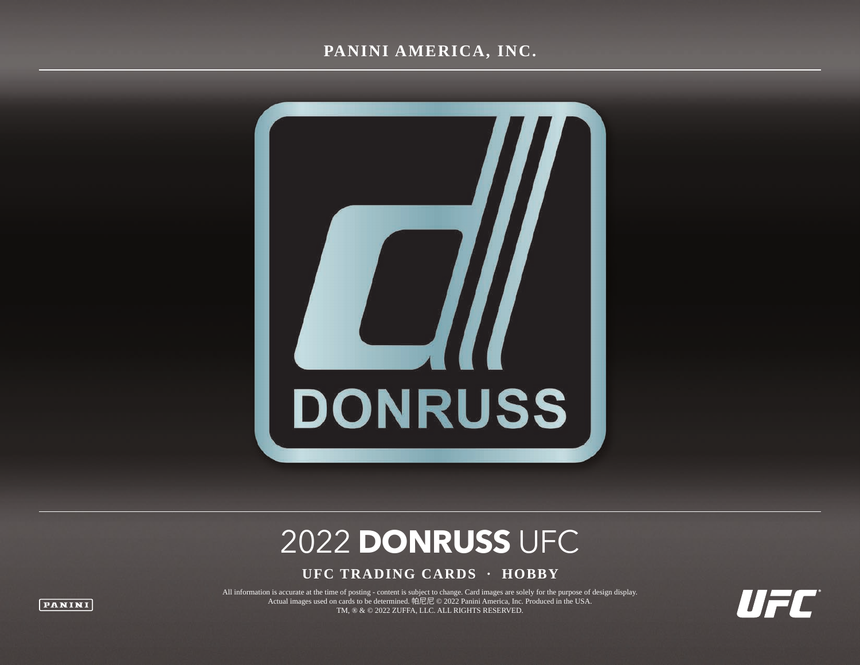#### **PANINI AMERICA, INC.**



# 2022 **DONRUSS** UFC

#### **UFC TRADING CARDS · HOBBY**

All information is accurate at the time of posting - content is subject to change. Card images are solely for the purpose of design display. Actual images used on cards to be determined. 帕尼尼 © 2022 Panini America, Inc. Produced in the USA. TM, ® & © 2022 ZUFFA, LLC. ALL RIGHTS RESERVED.

WFE

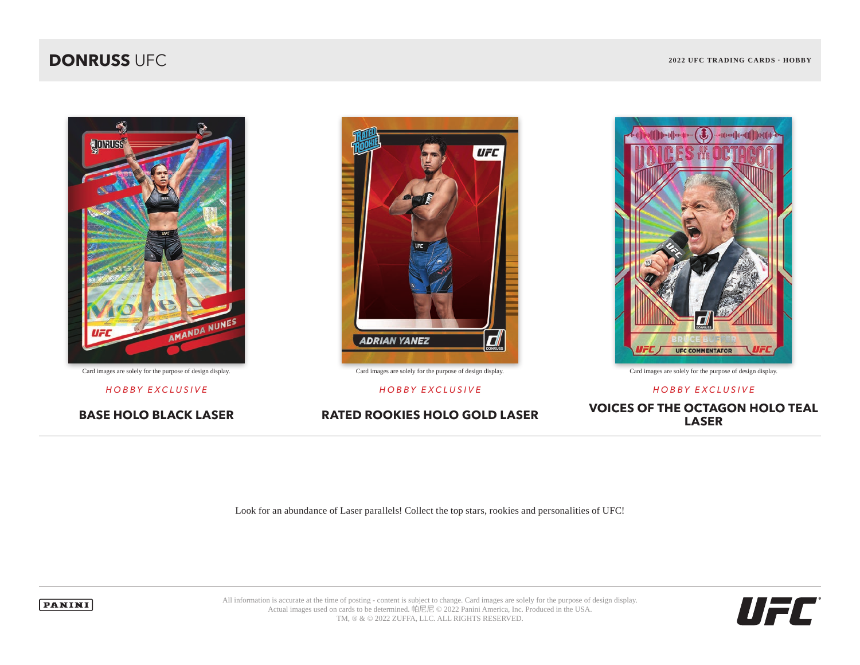#### **DONRUSS** UFC **2022 UFC 2022 UFC 2022 UFC 2022 UFC** TRADING CARDS · HOBBY





Card images are solely for the purpose of design display. Card images are solely for the purpose of design display. Card images are solely for the purpose of design display.



*HOBBY EXCLUSIVE HOBBY EXCLUSIVE HOBBY EXCLUSIVE*

**BASE HOLO BLACK LASER RATED ROOKIES HOLO GOLD LASER VOICES OF THE OCTAGON HOLO TEAL LASER**

Look for an abundance of Laser parallels! Collect the top stars, rookies and personalities of UFC!



All information is accurate at the time of posting - content is subject to change. Card images are solely for the purpose of design display. Actual images used on cards to be determined. 帕尼尼 © 2022 Panini America, Inc. Produced in the USA. TM, ® & © 2022 ZUFFA, LLC. ALL RIGHTS RESERVED.

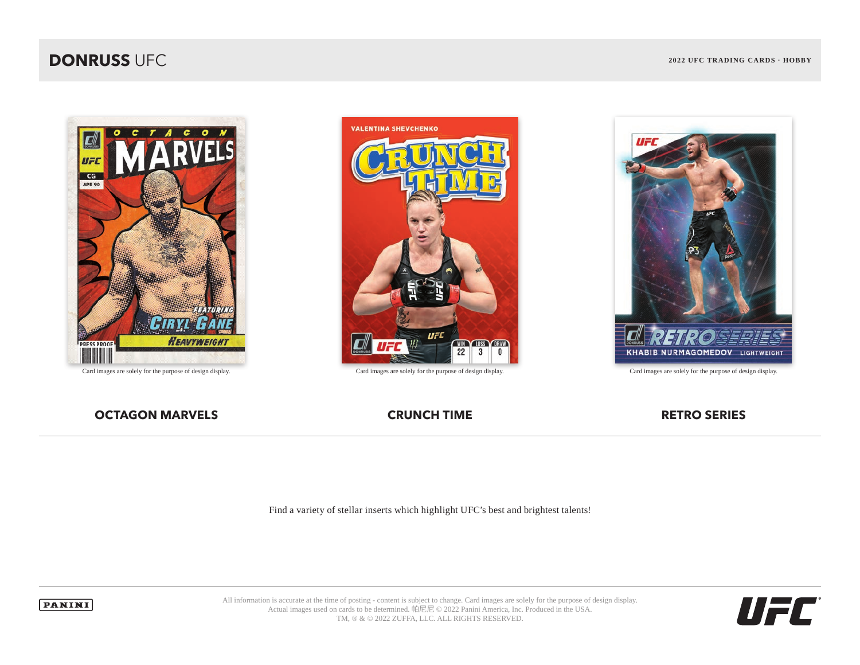### **DONRUSS** UFC **2022 UFC 2022 UFC 2022 UFC 2022 UFC** TRADING CARDS · HOBBY







**OCTAGON MARVELS CRUNCH TIME CRUNCH TIME RETRO SERIES** 

Find a variety of stellar inserts which highlight UFC's best and brightest talents!



All information is accurate at the time of posting - content is subject to change. Card images are solely for the purpose of design display. Actual images used on cards to be determined. 帕尼尼 © 2022 Panini America, Inc. Produced in the USA. TM, ® & © 2022 ZUFFA, LLC. ALL RIGHTS RESERVED.

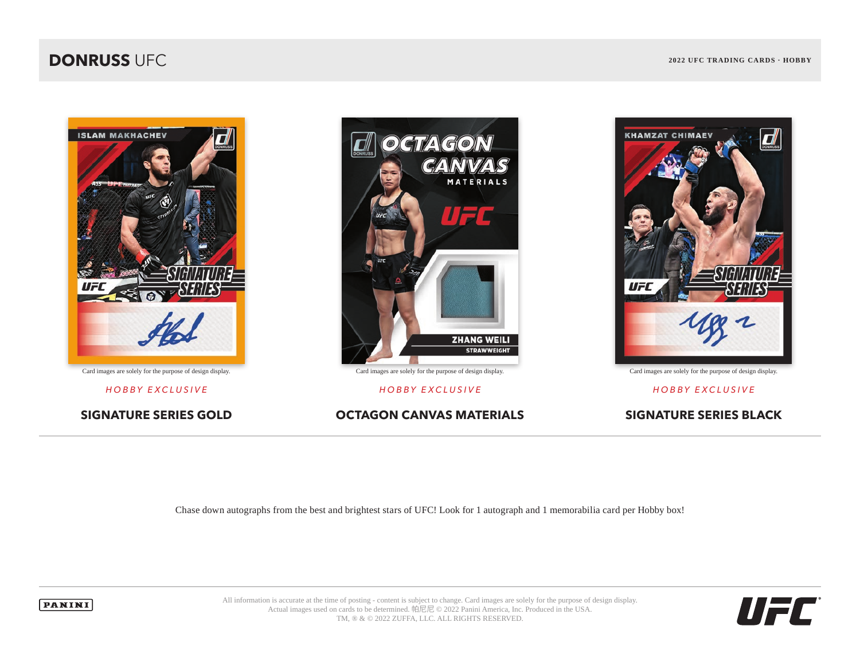### **DONRUSS** UFC **2022 UFC 2022 UFC 2022 UFC 2022 UFC** TRADING CARDS · HOBBY





*HOBBY EXCLUSIVE HOBBY EXCLUSIVE HOBBY EXCLUSIVE*

**SIGNATURE SERIES GOLD OCTAGON CANVAS MATERIALS SIGNATURE SERIES BLACK**



Chase down autographs from the best and brightest stars of UFC! Look for 1 autograph and 1 memorabilia card per Hobby box!



All information is accurate at the time of posting - content is subject to change. Card images are solely for the purpose of design display. Actual images used on cards to be determined. 帕尼尼 © 2022 Panini America, Inc. Produced in the USA. TM, ® & © 2022 ZUFFA, LLC. ALL RIGHTS RESERVED.